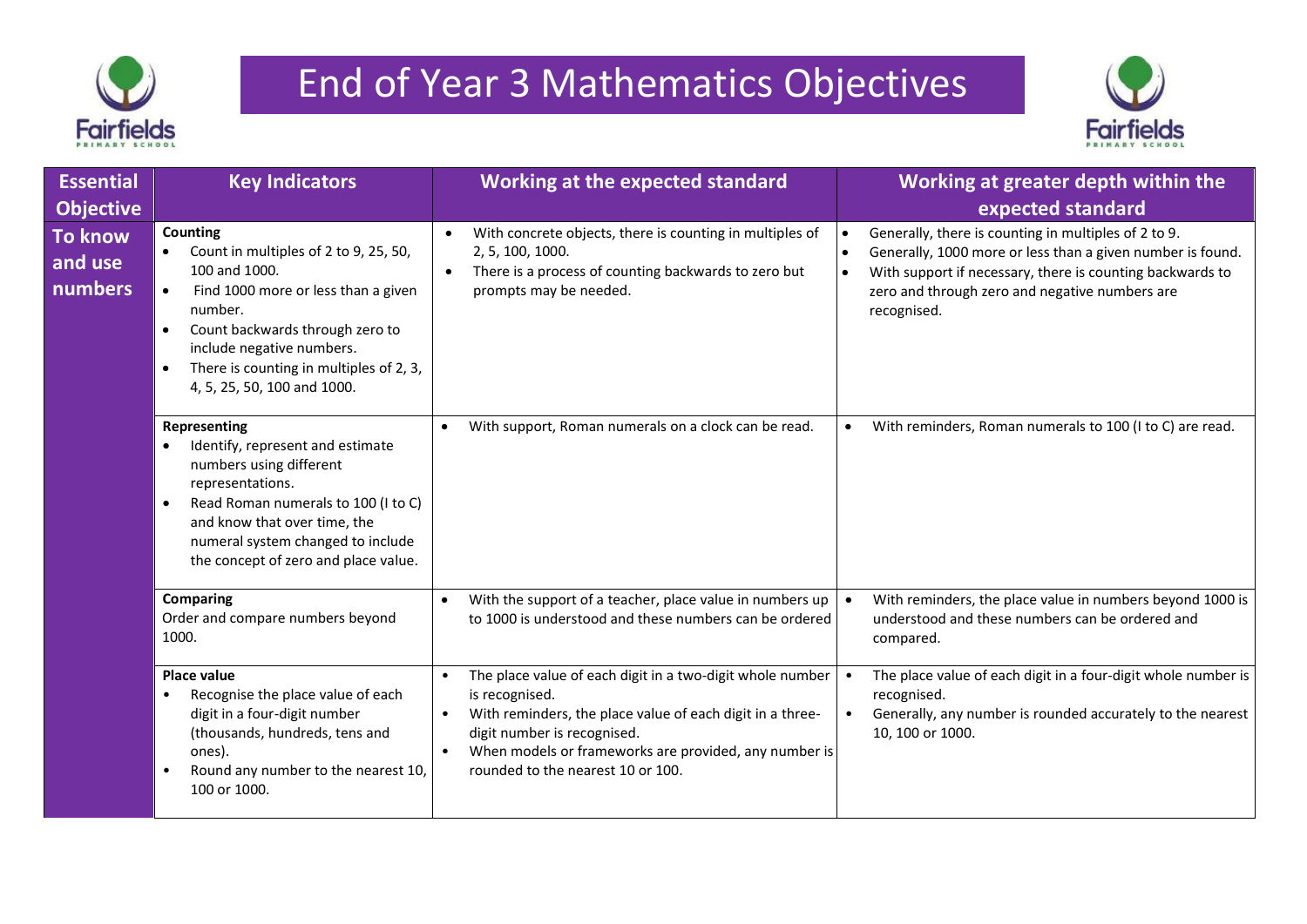



| <b>Essential</b><br><b>Objective</b> | <b>Key Indicators</b>                                                                                                                                                                                                                                                                           | <b>Working at the expected standard</b>                                                                                                                                                                                                                                                                      | Working at greater depth within the<br>expected standard                                                                                                                                                                                                      |
|--------------------------------------|-------------------------------------------------------------------------------------------------------------------------------------------------------------------------------------------------------------------------------------------------------------------------------------------------|--------------------------------------------------------------------------------------------------------------------------------------------------------------------------------------------------------------------------------------------------------------------------------------------------------------|---------------------------------------------------------------------------------------------------------------------------------------------------------------------------------------------------------------------------------------------------------------|
| <b>To know</b><br>and use<br>numbers | <b>Counting</b><br>Count in multiples of 2 to 9, 25, 50,<br>100 and 1000.<br>Find 1000 more or less than a given<br>number.<br>Count backwards through zero to<br>$\bullet$<br>include negative numbers.<br>There is counting in multiples of 2, 3,<br>$\bullet$<br>4, 5, 25, 50, 100 and 1000. | With concrete objects, there is counting in multiples of<br>$\bullet$<br>2, 5, 100, 1000.<br>There is a process of counting backwards to zero but<br>$\bullet$<br>prompts may be needed.                                                                                                                     | Generally, there is counting in multiples of 2 to 9.<br>$\bullet$<br>Generally, 1000 more or less than a given number is found.<br>With support if necessary, there is counting backwards to<br>zero and through zero and negative numbers are<br>recognised. |
|                                      | Representing<br>Identify, represent and estimate<br>numbers using different<br>representations.<br>Read Roman numerals to 100 (I to C)<br>$\bullet$<br>and know that over time, the<br>numeral system changed to include<br>the concept of zero and place value.                                | With support, Roman numerals on a clock can be read.<br>$\bullet$                                                                                                                                                                                                                                            | With reminders, Roman numerals to 100 (I to C) are read.<br>$\bullet$                                                                                                                                                                                         |
|                                      | <b>Comparing</b><br>Order and compare numbers beyond<br>1000.                                                                                                                                                                                                                                   | With the support of a teacher, place value in numbers up<br>to 1000 is understood and these numbers can be ordered                                                                                                                                                                                           | With reminders, the place value in numbers beyond 1000 is<br>understood and these numbers can be ordered and<br>compared.                                                                                                                                     |
|                                      | <b>Place value</b><br>Recognise the place value of each<br>digit in a four-digit number<br>(thousands, hundreds, tens and<br>ones).<br>Round any number to the nearest 10,<br>100 or 1000.                                                                                                      | The place value of each digit in a two-digit whole number<br>$\bullet$<br>is recognised.<br>With reminders, the place value of each digit in a three-<br>$\bullet$<br>digit number is recognised.<br>When models or frameworks are provided, any number is<br>$\bullet$<br>rounded to the nearest 10 or 100. | The place value of each digit in a four-digit whole number is<br>recognised.<br>Generally, any number is rounded accurately to the nearest<br>10, 100 or 1000.                                                                                                |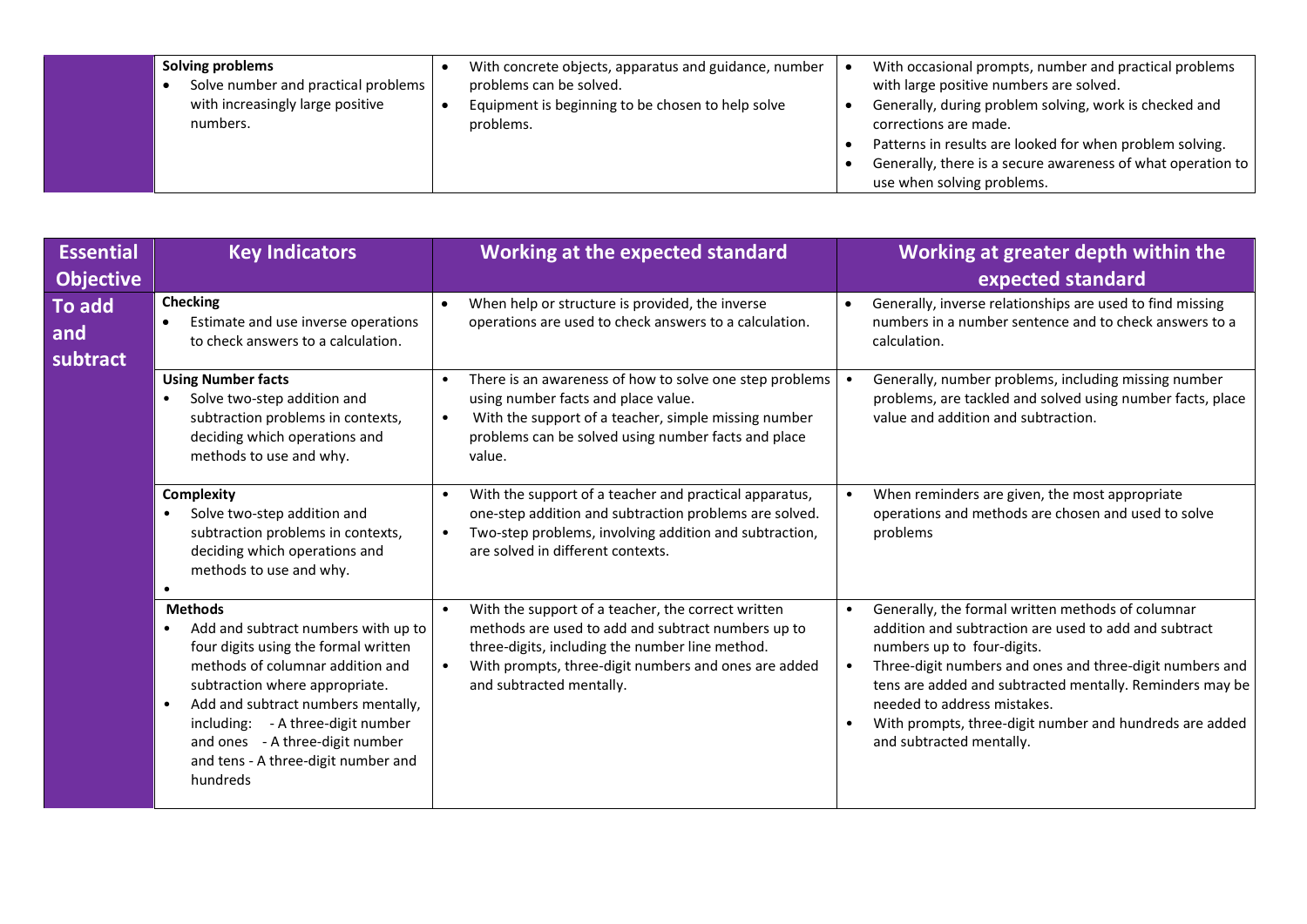| numbers.<br>problems.<br>corrections are made.<br>Patterns in results are looked for when problem solving. | use when solving problems. |  | Solving problems<br>Solve number and practical problems<br>with increasingly large positive | With concrete objects, apparatus and guidance, number<br>problems can be solved.<br>Equipment is beginning to be chosen to help solve | With occasional prompts, number and practical problems<br>with large positive numbers are solved.<br>Generally, during problem solving, work is checked and<br>Generally, there is a secure awareness of what operation to |
|------------------------------------------------------------------------------------------------------------|----------------------------|--|---------------------------------------------------------------------------------------------|---------------------------------------------------------------------------------------------------------------------------------------|----------------------------------------------------------------------------------------------------------------------------------------------------------------------------------------------------------------------------|
|------------------------------------------------------------------------------------------------------------|----------------------------|--|---------------------------------------------------------------------------------------------|---------------------------------------------------------------------------------------------------------------------------------------|----------------------------------------------------------------------------------------------------------------------------------------------------------------------------------------------------------------------------|

| <b>Essential</b><br><b>Objective</b> | <b>Key Indicators</b>                                                                                                                                                                                                                                                                                                                | <b>Working at the expected standard</b>                                                                                                                                                                                                                                   | Working at greater depth within the<br>expected standard                                                                                                                                                                                                                                                                                                                               |
|--------------------------------------|--------------------------------------------------------------------------------------------------------------------------------------------------------------------------------------------------------------------------------------------------------------------------------------------------------------------------------------|---------------------------------------------------------------------------------------------------------------------------------------------------------------------------------------------------------------------------------------------------------------------------|----------------------------------------------------------------------------------------------------------------------------------------------------------------------------------------------------------------------------------------------------------------------------------------------------------------------------------------------------------------------------------------|
| To add<br>and<br>subtract            | <b>Checking</b><br>Estimate and use inverse operations<br>to check answers to a calculation.                                                                                                                                                                                                                                         | When help or structure is provided, the inverse<br>$\bullet$<br>operations are used to check answers to a calculation.                                                                                                                                                    | Generally, inverse relationships are used to find missing<br>numbers in a number sentence and to check answers to a<br>calculation.                                                                                                                                                                                                                                                    |
|                                      | <b>Using Number facts</b><br>Solve two-step addition and<br>subtraction problems in contexts,<br>deciding which operations and<br>methods to use and why.                                                                                                                                                                            | There is an awareness of how to solve one step problems<br>$\bullet$<br>using number facts and place value.<br>With the support of a teacher, simple missing number<br>$\bullet$<br>problems can be solved using number facts and place<br>value.                         | Generally, number problems, including missing number<br>problems, are tackled and solved using number facts, place<br>value and addition and subtraction.                                                                                                                                                                                                                              |
|                                      | <b>Complexity</b><br>Solve two-step addition and<br>subtraction problems in contexts,<br>deciding which operations and<br>methods to use and why.                                                                                                                                                                                    | With the support of a teacher and practical apparatus,<br>$\bullet$<br>one-step addition and subtraction problems are solved.<br>Two-step problems, involving addition and subtraction,<br>$\bullet$<br>are solved in different contexts.                                 | When reminders are given, the most appropriate<br>operations and methods are chosen and used to solve<br>problems                                                                                                                                                                                                                                                                      |
|                                      | <b>Methods</b><br>Add and subtract numbers with up to<br>four digits using the formal written<br>methods of columnar addition and<br>subtraction where appropriate.<br>Add and subtract numbers mentally,<br>including: - A three-digit number<br>and ones - A three-digit number<br>and tens - A three-digit number and<br>hundreds | With the support of a teacher, the correct written<br>$\bullet$<br>methods are used to add and subtract numbers up to<br>three-digits, including the number line method.<br>With prompts, three-digit numbers and ones are added<br>$\bullet$<br>and subtracted mentally. | Generally, the formal written methods of columnar<br>addition and subtraction are used to add and subtract<br>numbers up to four-digits.<br>Three-digit numbers and ones and three-digit numbers and<br>tens are added and subtracted mentally. Reminders may be<br>needed to address mistakes.<br>With prompts, three-digit number and hundreds are added<br>and subtracted mentally. |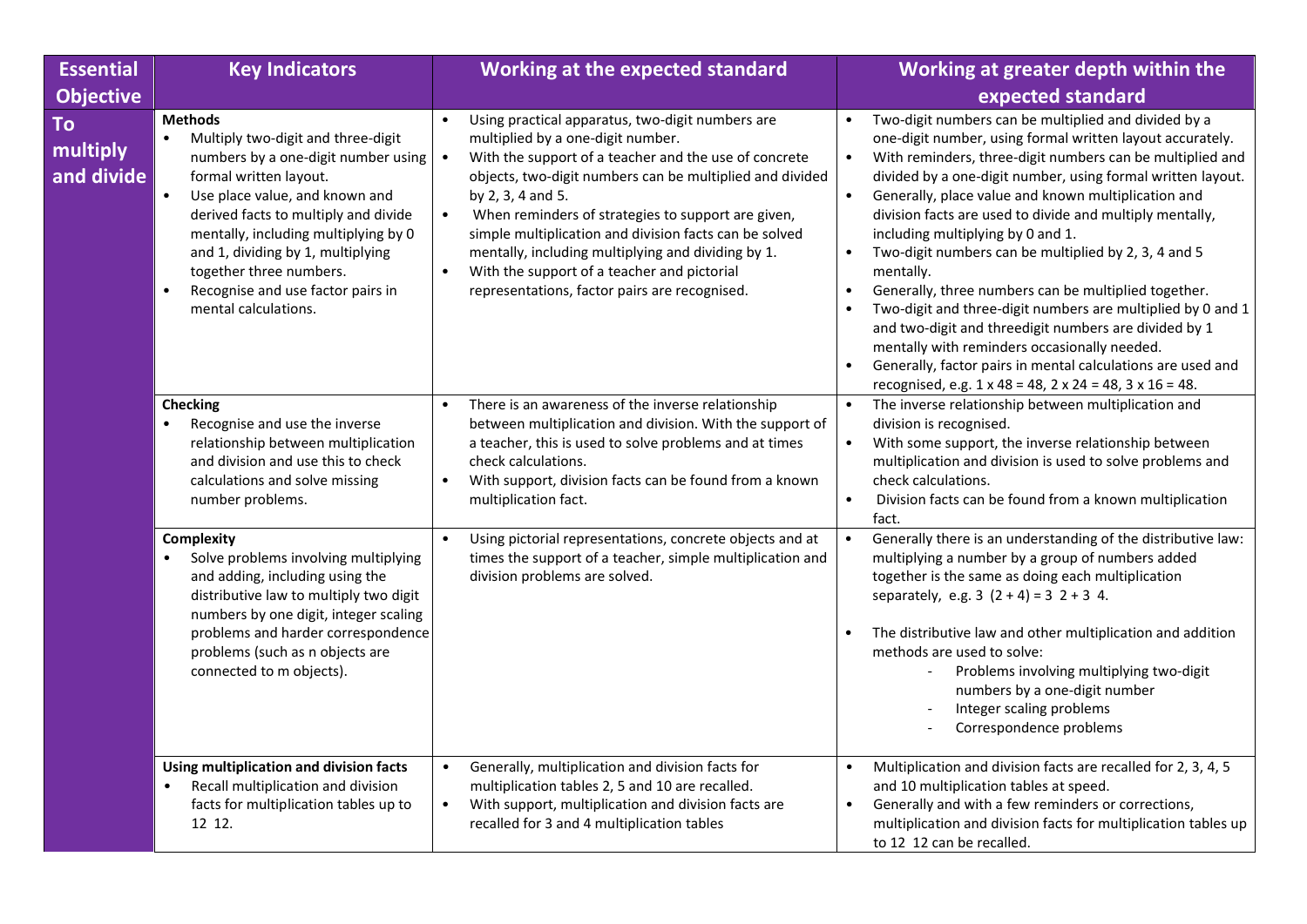| <b>Essential</b>             | <b>Key Indicators</b>                                                                                                                                                                                                                                                                                                                                                                          | <b>Working at the expected standard</b>                                                                                                                                                                                                                                                                                                                                                                                                                                                                                                                   | Working at greater depth within the                                                                                                                                                                                                                                                                                                                                                                                                                                                                                                                                                                                                                                                                                                                                                                                                                                                                   |
|------------------------------|------------------------------------------------------------------------------------------------------------------------------------------------------------------------------------------------------------------------------------------------------------------------------------------------------------------------------------------------------------------------------------------------|-----------------------------------------------------------------------------------------------------------------------------------------------------------------------------------------------------------------------------------------------------------------------------------------------------------------------------------------------------------------------------------------------------------------------------------------------------------------------------------------------------------------------------------------------------------|-------------------------------------------------------------------------------------------------------------------------------------------------------------------------------------------------------------------------------------------------------------------------------------------------------------------------------------------------------------------------------------------------------------------------------------------------------------------------------------------------------------------------------------------------------------------------------------------------------------------------------------------------------------------------------------------------------------------------------------------------------------------------------------------------------------------------------------------------------------------------------------------------------|
| <b>Objective</b>             |                                                                                                                                                                                                                                                                                                                                                                                                |                                                                                                                                                                                                                                                                                                                                                                                                                                                                                                                                                           | expected standard                                                                                                                                                                                                                                                                                                                                                                                                                                                                                                                                                                                                                                                                                                                                                                                                                                                                                     |
| To<br>multiply<br>and divide | <b>Methods</b><br>Multiply two-digit and three-digit<br>numbers by a one-digit number using<br>formal written layout.<br>$\bullet$<br>Use place value, and known and<br>derived facts to multiply and divide<br>mentally, including multiplying by 0<br>and 1, dividing by 1, multiplying<br>together three numbers.<br>Recognise and use factor pairs in<br>$\bullet$<br>mental calculations. | Using practical apparatus, two-digit numbers are<br>$\bullet$<br>multiplied by a one-digit number.<br>With the support of a teacher and the use of concrete<br>$\bullet$<br>objects, two-digit numbers can be multiplied and divided<br>by 2, 3, 4 and 5.<br>When reminders of strategies to support are given,<br>$\bullet$<br>simple multiplication and division facts can be solved<br>mentally, including multiplying and dividing by 1.<br>With the support of a teacher and pictorial<br>$\bullet$<br>representations, factor pairs are recognised. | Two-digit numbers can be multiplied and divided by a<br>$\bullet$<br>one-digit number, using formal written layout accurately.<br>With reminders, three-digit numbers can be multiplied and<br>$\bullet$<br>divided by a one-digit number, using formal written layout.<br>$\bullet$<br>Generally, place value and known multiplication and<br>division facts are used to divide and multiply mentally,<br>including multiplying by 0 and 1.<br>Two-digit numbers can be multiplied by 2, 3, 4 and 5<br>mentally.<br>Generally, three numbers can be multiplied together.<br>$\bullet$<br>Two-digit and three-digit numbers are multiplied by 0 and 1<br>and two-digit and threedigit numbers are divided by 1<br>mentally with reminders occasionally needed.<br>Generally, factor pairs in mental calculations are used and<br>$\bullet$<br>recognised, e.g. 1 x 48 = 48, 2 x 24 = 48, 3 x 16 = 48. |
|                              | <b>Checking</b><br>Recognise and use the inverse<br>relationship between multiplication<br>and division and use this to check<br>calculations and solve missing<br>number problems.                                                                                                                                                                                                            | There is an awareness of the inverse relationship<br>$\bullet$<br>between multiplication and division. With the support of<br>a teacher, this is used to solve problems and at times<br>check calculations.<br>With support, division facts can be found from a known<br>$\bullet$<br>multiplication fact.                                                                                                                                                                                                                                                | The inverse relationship between multiplication and<br>division is recognised.<br>With some support, the inverse relationship between<br>$\bullet$<br>multiplication and division is used to solve problems and<br>check calculations.<br>$\bullet$<br>Division facts can be found from a known multiplication<br>fact.                                                                                                                                                                                                                                                                                                                                                                                                                                                                                                                                                                               |
|                              | Complexity<br>Solve problems involving multiplying<br>and adding, including using the<br>distributive law to multiply two digit<br>numbers by one digit, integer scaling<br>problems and harder correspondence<br>problems (such as n objects are<br>connected to m objects).                                                                                                                  | Using pictorial representations, concrete objects and at<br>$\bullet$<br>times the support of a teacher, simple multiplication and<br>division problems are solved.                                                                                                                                                                                                                                                                                                                                                                                       | Generally there is an understanding of the distributive law:<br>multiplying a number by a group of numbers added<br>together is the same as doing each multiplication<br>separately, e.g. $3(2 + 4) = 32 + 34$ .<br>The distributive law and other multiplication and addition<br>methods are used to solve:<br>Problems involving multiplying two-digit<br>numbers by a one-digit number<br>Integer scaling problems<br>Correspondence problems                                                                                                                                                                                                                                                                                                                                                                                                                                                      |
|                              | Using multiplication and division facts<br>Recall multiplication and division<br>$\bullet$<br>facts for multiplication tables up to<br>12 12.                                                                                                                                                                                                                                                  | Generally, multiplication and division facts for<br>$\bullet$<br>multiplication tables 2, 5 and 10 are recalled.<br>With support, multiplication and division facts are<br>$\bullet$<br>recalled for 3 and 4 multiplication tables                                                                                                                                                                                                                                                                                                                        | Multiplication and division facts are recalled for 2, 3, 4, 5<br>$\bullet$<br>and 10 multiplication tables at speed.<br>Generally and with a few reminders or corrections,<br>$\bullet$<br>multiplication and division facts for multiplication tables up<br>to 12 12 can be recalled.                                                                                                                                                                                                                                                                                                                                                                                                                                                                                                                                                                                                                |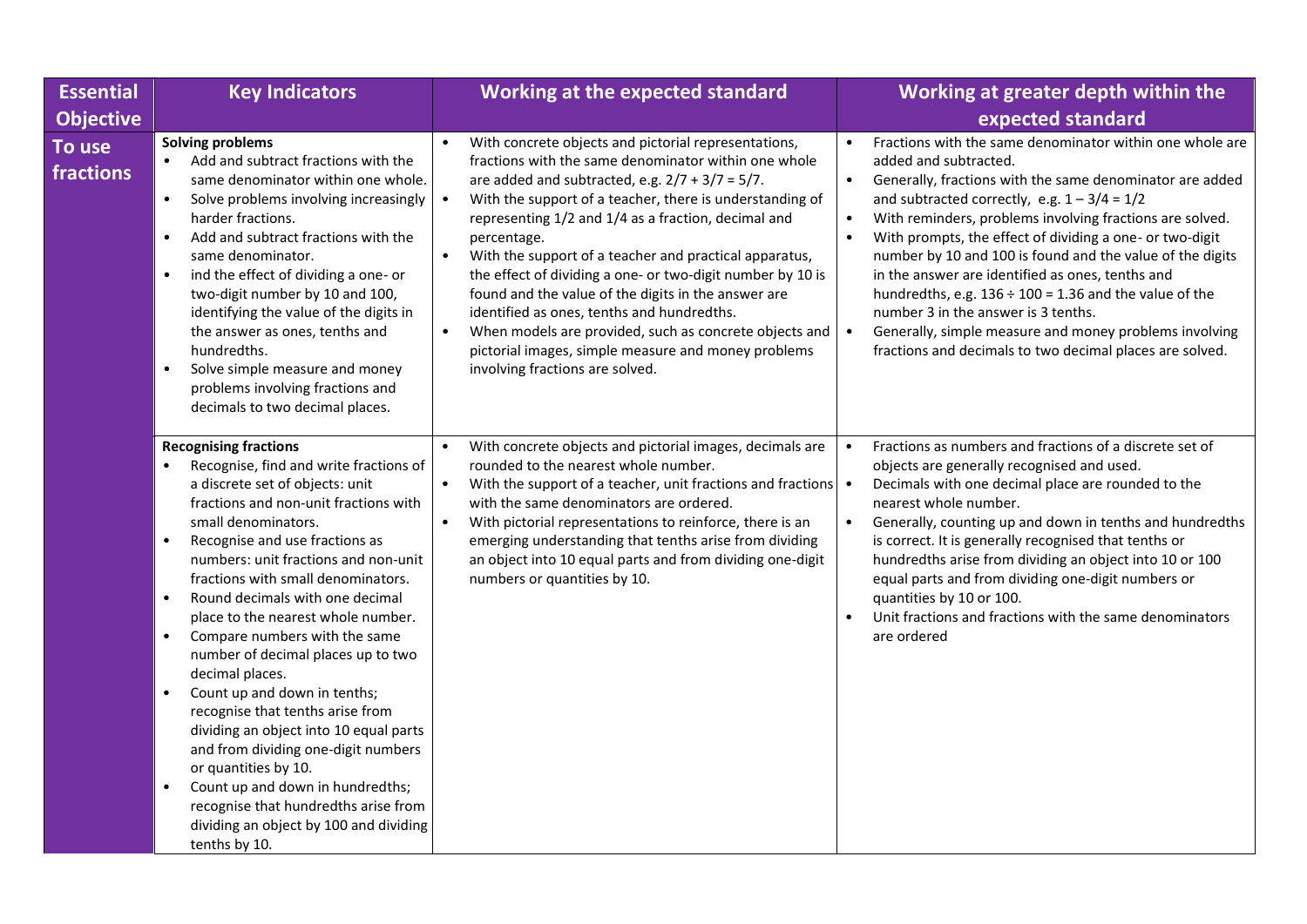| <b>Essential</b>    | <b>Key Indicators</b>                                                                                                                                                                                                                                                                                                                                                                                                                                                                                                                                                                                                                                                                                                                                                                                                                             | <b>Working at the expected standard</b>                                                                                                                                                                                                                                                                                                                                                                                                                                                                                                                                                                                                                                                                         | Working at greater depth within the                                                                                                                                                                                                                                                                                                                                                                                                                                                                                                                                                                                                                                               |
|---------------------|---------------------------------------------------------------------------------------------------------------------------------------------------------------------------------------------------------------------------------------------------------------------------------------------------------------------------------------------------------------------------------------------------------------------------------------------------------------------------------------------------------------------------------------------------------------------------------------------------------------------------------------------------------------------------------------------------------------------------------------------------------------------------------------------------------------------------------------------------|-----------------------------------------------------------------------------------------------------------------------------------------------------------------------------------------------------------------------------------------------------------------------------------------------------------------------------------------------------------------------------------------------------------------------------------------------------------------------------------------------------------------------------------------------------------------------------------------------------------------------------------------------------------------------------------------------------------------|-----------------------------------------------------------------------------------------------------------------------------------------------------------------------------------------------------------------------------------------------------------------------------------------------------------------------------------------------------------------------------------------------------------------------------------------------------------------------------------------------------------------------------------------------------------------------------------------------------------------------------------------------------------------------------------|
| <b>Objective</b>    |                                                                                                                                                                                                                                                                                                                                                                                                                                                                                                                                                                                                                                                                                                                                                                                                                                                   |                                                                                                                                                                                                                                                                                                                                                                                                                                                                                                                                                                                                                                                                                                                 | expected standard                                                                                                                                                                                                                                                                                                                                                                                                                                                                                                                                                                                                                                                                 |
| To use<br>fractions | <b>Solving problems</b><br>Add and subtract fractions with the<br>same denominator within one whole.<br>Solve problems involving increasingly<br>$\bullet$<br>harder fractions.<br>Add and subtract fractions with the<br>$\bullet$<br>same denominator.<br>ind the effect of dividing a one- or<br>$\bullet$<br>two-digit number by 10 and 100,<br>identifying the value of the digits in<br>the answer as ones, tenths and<br>hundredths.<br>Solve simple measure and money<br>$\bullet$<br>problems involving fractions and<br>decimals to two decimal places.                                                                                                                                                                                                                                                                                 | With concrete objects and pictorial representations,<br>fractions with the same denominator within one whole<br>are added and subtracted, e.g. $2/7 + 3/7 = 5/7$ .<br>With the support of a teacher, there is understanding of<br>$\bullet$<br>representing 1/2 and 1/4 as a fraction, decimal and<br>percentage.<br>With the support of a teacher and practical apparatus,<br>the effect of dividing a one- or two-digit number by 10 is<br>found and the value of the digits in the answer are<br>identified as ones, tenths and hundredths.<br>When models are provided, such as concrete objects and<br>$\bullet$<br>pictorial images, simple measure and money problems<br>involving fractions are solved. | Fractions with the same denominator within one whole are<br>added and subtracted.<br>Generally, fractions with the same denominator are added<br>and subtracted correctly, e.g. $1 - 3/4 = 1/2$<br>With reminders, problems involving fractions are solved.<br>$\bullet$<br>With prompts, the effect of dividing a one- or two-digit<br>number by 10 and 100 is found and the value of the digits<br>in the answer are identified as ones, tenths and<br>hundredths, e.g. $136 \div 100 = 1.36$ and the value of the<br>number 3 in the answer is 3 tenths.<br>Generally, simple measure and money problems involving<br>fractions and decimals to two decimal places are solved. |
|                     | <b>Recognising fractions</b><br>Recognise, find and write fractions of<br>a discrete set of objects: unit<br>fractions and non-unit fractions with<br>small denominators.<br>Recognise and use fractions as<br>$\bullet$<br>numbers: unit fractions and non-unit<br>fractions with small denominators.<br>Round decimals with one decimal<br>$\bullet$<br>place to the nearest whole number.<br>Compare numbers with the same<br>$\bullet$<br>number of decimal places up to two<br>decimal places.<br>Count up and down in tenths;<br>$\bullet$<br>recognise that tenths arise from<br>dividing an object into 10 equal parts<br>and from dividing one-digit numbers<br>or quantities by 10.<br>Count up and down in hundredths;<br>$\bullet$<br>recognise that hundredths arise from<br>dividing an object by 100 and dividing<br>tenths by 10. | With concrete objects and pictorial images, decimals are<br>$\bullet$<br>rounded to the nearest whole number.<br>With the support of a teacher, unit fractions and fractions<br>$\bullet$<br>with the same denominators are ordered.<br>With pictorial representations to reinforce, there is an<br>emerging understanding that tenths arise from dividing<br>an object into 10 equal parts and from dividing one-digit<br>numbers or quantities by 10.                                                                                                                                                                                                                                                         | Fractions as numbers and fractions of a discrete set of<br>$\bullet$<br>objects are generally recognised and used.<br>Decimals with one decimal place are rounded to the<br>nearest whole number.<br>Generally, counting up and down in tenths and hundredths<br>is correct. It is generally recognised that tenths or<br>hundredths arise from dividing an object into 10 or 100<br>equal parts and from dividing one-digit numbers or<br>quantities by 10 or 100.<br>Unit fractions and fractions with the same denominators<br>are ordered                                                                                                                                     |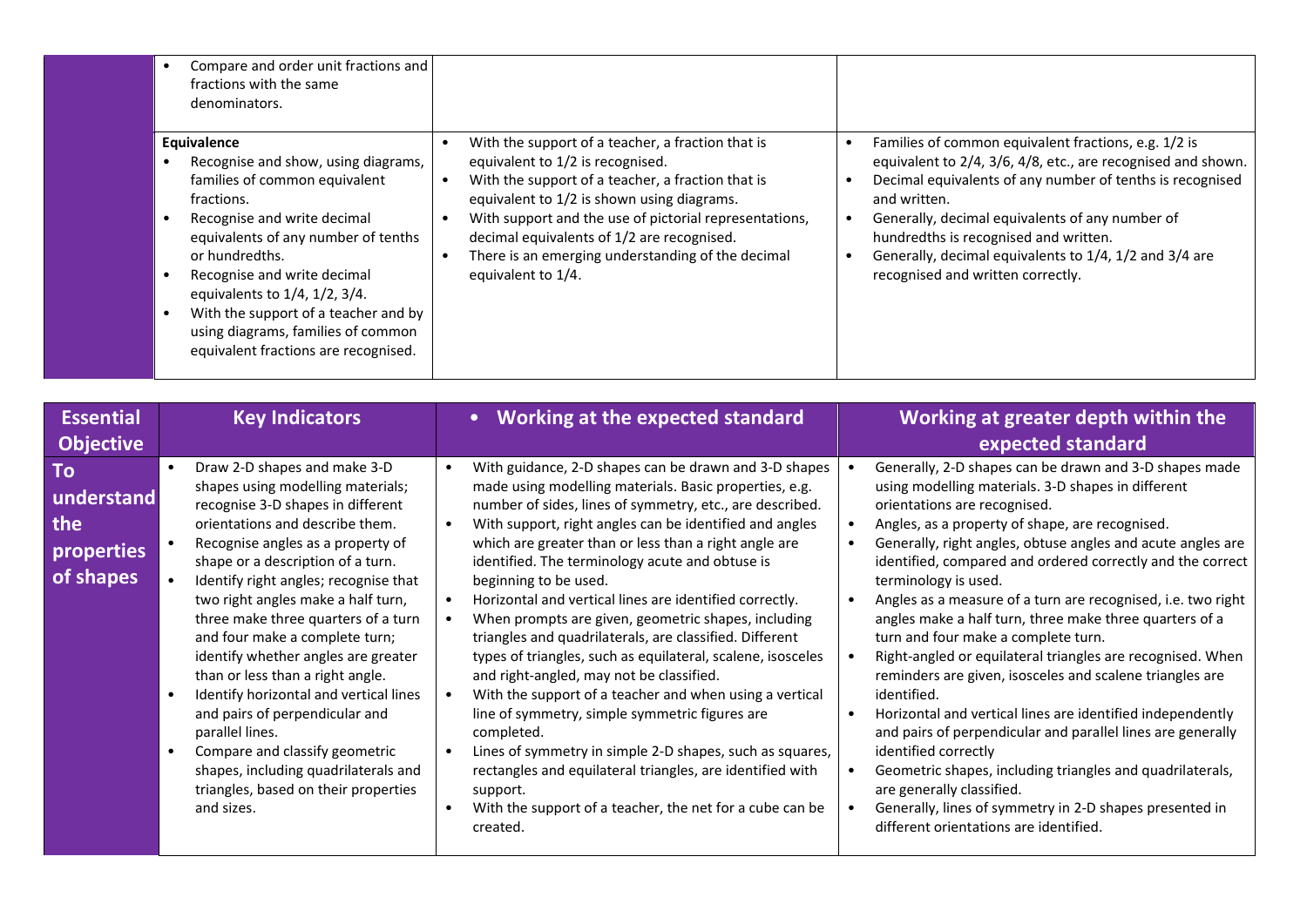|                                                    | Compare and order unit fractions and<br>fractions with the same<br>denominators.                                                                                                                                                                                                                                                                                                                                                                                                                                                                                                                                                                                                                                |                                                                                                                                                                                                                                                                                                                                                                                                                                                                                                                                                                                                                                                                                                                                                                                                                                                                                                                                                                                                                                                                                           |                                                                                                                                                                                                                                                                                                                                                                                                                                                                                                                                                                                                                                                                                                                                                                                                                                                                                                                                                                                                                                                            |
|----------------------------------------------------|-----------------------------------------------------------------------------------------------------------------------------------------------------------------------------------------------------------------------------------------------------------------------------------------------------------------------------------------------------------------------------------------------------------------------------------------------------------------------------------------------------------------------------------------------------------------------------------------------------------------------------------------------------------------------------------------------------------------|-------------------------------------------------------------------------------------------------------------------------------------------------------------------------------------------------------------------------------------------------------------------------------------------------------------------------------------------------------------------------------------------------------------------------------------------------------------------------------------------------------------------------------------------------------------------------------------------------------------------------------------------------------------------------------------------------------------------------------------------------------------------------------------------------------------------------------------------------------------------------------------------------------------------------------------------------------------------------------------------------------------------------------------------------------------------------------------------|------------------------------------------------------------------------------------------------------------------------------------------------------------------------------------------------------------------------------------------------------------------------------------------------------------------------------------------------------------------------------------------------------------------------------------------------------------------------------------------------------------------------------------------------------------------------------------------------------------------------------------------------------------------------------------------------------------------------------------------------------------------------------------------------------------------------------------------------------------------------------------------------------------------------------------------------------------------------------------------------------------------------------------------------------------|
|                                                    | Equivalence<br>Recognise and show, using diagrams,<br>$\bullet$<br>families of common equivalent<br>fractions.<br>$\bullet$<br>Recognise and write decimal<br>equivalents of any number of tenths<br>or hundredths.<br>Recognise and write decimal<br>$\bullet$<br>equivalents to 1/4, 1/2, 3/4.<br>With the support of a teacher and by<br>$\bullet$<br>using diagrams, families of common<br>equivalent fractions are recognised.                                                                                                                                                                                                                                                                             | With the support of a teacher, a fraction that is<br>$\bullet$<br>equivalent to 1/2 is recognised.<br>With the support of a teacher, a fraction that is<br>$\bullet$<br>equivalent to 1/2 is shown using diagrams.<br>With support and the use of pictorial representations,<br>$\bullet$<br>decimal equivalents of 1/2 are recognised.<br>There is an emerging understanding of the decimal<br>$\bullet$<br>equivalent to 1/4.                                                                                                                                                                                                                                                                                                                                                                                                                                                                                                                                                                                                                                                           | Families of common equivalent fractions, e.g. 1/2 is<br>$\bullet$<br>equivalent to 2/4, 3/6, 4/8, etc., are recognised and shown.<br>Decimal equivalents of any number of tenths is recognised<br>and written.<br>Generally, decimal equivalents of any number of<br>$\bullet$<br>hundredths is recognised and written.<br>Generally, decimal equivalents to 1/4, 1/2 and 3/4 are<br>$\bullet$<br>recognised and written correctly.                                                                                                                                                                                                                                                                                                                                                                                                                                                                                                                                                                                                                        |
| <b>Essential</b>                                   | <b>Key Indicators</b>                                                                                                                                                                                                                                                                                                                                                                                                                                                                                                                                                                                                                                                                                           | <b>Working at the expected standard</b><br>$\bullet$                                                                                                                                                                                                                                                                                                                                                                                                                                                                                                                                                                                                                                                                                                                                                                                                                                                                                                                                                                                                                                      | Working at greater depth within the                                                                                                                                                                                                                                                                                                                                                                                                                                                                                                                                                                                                                                                                                                                                                                                                                                                                                                                                                                                                                        |
| <b>Objective</b>                                   |                                                                                                                                                                                                                                                                                                                                                                                                                                                                                                                                                                                                                                                                                                                 |                                                                                                                                                                                                                                                                                                                                                                                                                                                                                                                                                                                                                                                                                                                                                                                                                                                                                                                                                                                                                                                                                           | expected standard                                                                                                                                                                                                                                                                                                                                                                                                                                                                                                                                                                                                                                                                                                                                                                                                                                                                                                                                                                                                                                          |
| To<br>understand<br>the<br>properties<br>of shapes | Draw 2-D shapes and make 3-D<br>shapes using modelling materials;<br>recognise 3-D shapes in different<br>orientations and describe them.<br>Recognise angles as a property of<br>shape or a description of a turn.<br>Identify right angles; recognise that<br>two right angles make a half turn,<br>three make three quarters of a turn<br>and four make a complete turn;<br>identify whether angles are greater<br>than or less than a right angle.<br>Identify horizontal and vertical lines<br>$\bullet$<br>and pairs of perpendicular and<br>parallel lines.<br>Compare and classify geometric<br>$\bullet$<br>shapes, including quadrilaterals and<br>triangles, based on their properties<br>and sizes. | With guidance, 2-D shapes can be drawn and 3-D shapes<br>$\bullet$<br>made using modelling materials. Basic properties, e.g.<br>number of sides, lines of symmetry, etc., are described.<br>With support, right angles can be identified and angles<br>$\bullet$<br>which are greater than or less than a right angle are<br>identified. The terminology acute and obtuse is<br>beginning to be used.<br>Horizontal and vertical lines are identified correctly.<br>$\bullet$<br>When prompts are given, geometric shapes, including<br>$\bullet$<br>triangles and quadrilaterals, are classified. Different<br>types of triangles, such as equilateral, scalene, isosceles<br>and right-angled, may not be classified.<br>With the support of a teacher and when using a vertical<br>$\bullet$<br>line of symmetry, simple symmetric figures are<br>completed.<br>Lines of symmetry in simple 2-D shapes, such as squares,<br>$\bullet$<br>rectangles and equilateral triangles, are identified with<br>support.<br>With the support of a teacher, the net for a cube can be<br>created. | Generally, 2-D shapes can be drawn and 3-D shapes made<br>$\bullet$<br>using modelling materials. 3-D shapes in different<br>orientations are recognised.<br>Angles, as a property of shape, are recognised.<br>Generally, right angles, obtuse angles and acute angles are<br>$\bullet$<br>identified, compared and ordered correctly and the correct<br>terminology is used.<br>Angles as a measure of a turn are recognised, i.e. two right<br>angles make a half turn, three make three quarters of a<br>turn and four make a complete turn.<br>Right-angled or equilateral triangles are recognised. When<br>reminders are given, isosceles and scalene triangles are<br>identified.<br>Horizontal and vertical lines are identified independently<br>$\bullet$<br>and pairs of perpendicular and parallel lines are generally<br>identified correctly<br>Geometric shapes, including triangles and quadrilaterals,<br>are generally classified.<br>Generally, lines of symmetry in 2-D shapes presented in<br>different orientations are identified. |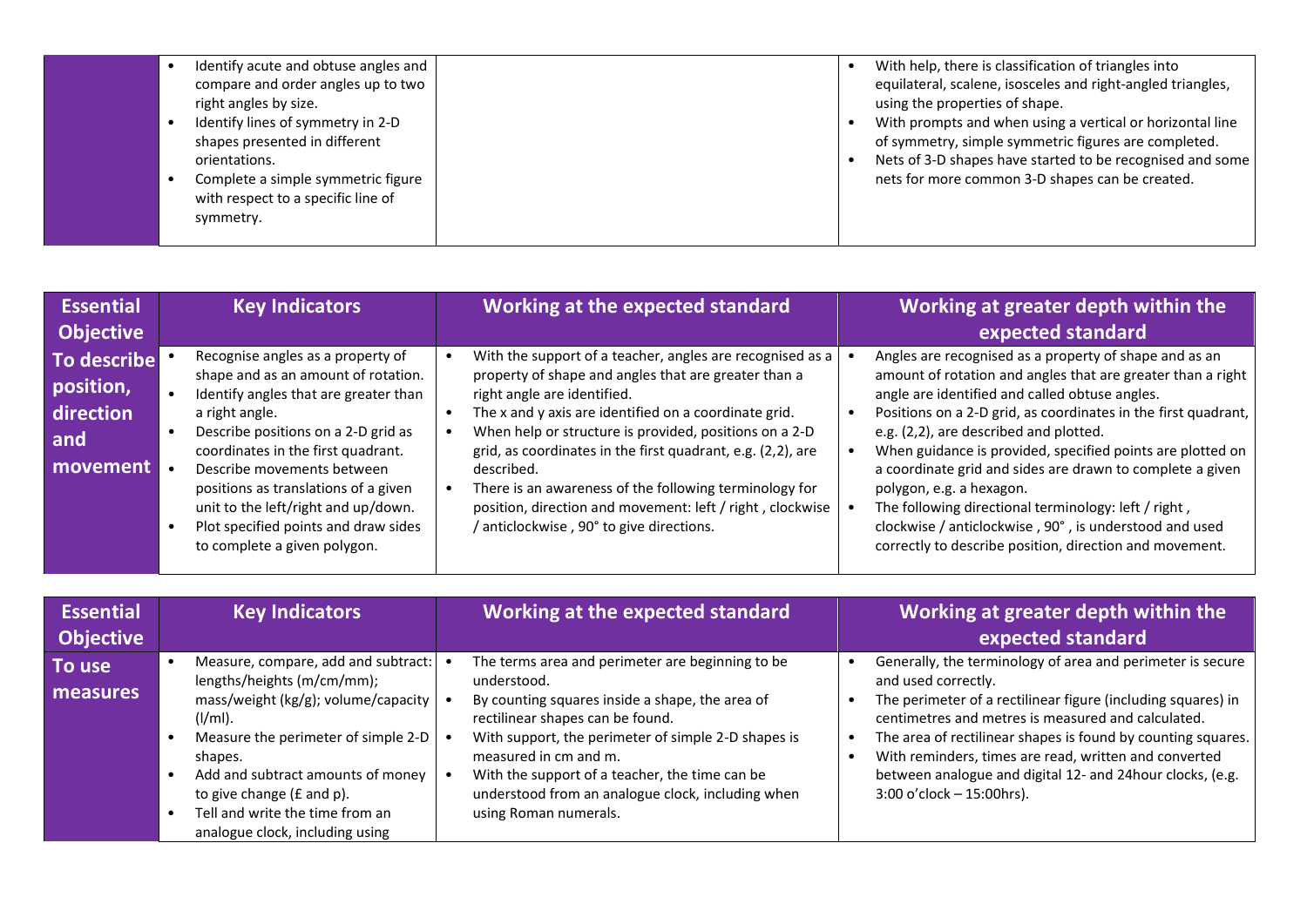| Identify acute and obtuse angles and<br>compare and order angles up to two<br>right angles by size.                                                                          |  | With help, there is classification of triangles into<br>equilateral, scalene, isosceles and right-angled triangles,<br>using the properties of shape.                                                                             |
|------------------------------------------------------------------------------------------------------------------------------------------------------------------------------|--|-----------------------------------------------------------------------------------------------------------------------------------------------------------------------------------------------------------------------------------|
| Identify lines of symmetry in 2-D<br>shapes presented in different<br>orientations.<br>Complete a simple symmetric figure<br>with respect to a specific line of<br>symmetry. |  | With prompts and when using a vertical or horizontal line<br>of symmetry, simple symmetric figures are completed.<br>Nets of 3-D shapes have started to be recognised and some<br>nets for more common 3-D shapes can be created. |

| <b>Essential</b>                                         | <b>Key Indicators</b>                                                                                                                                                                                                                                                                                                                                                                                 | Working at the expected standard                                                                                                                                                                                                                                                                                                                                                                                                                                                                                  | Working at greater depth within the                                                                                                                                                                                                                                                                                                                                                                                                                                                                                                                                                                                     |
|----------------------------------------------------------|-------------------------------------------------------------------------------------------------------------------------------------------------------------------------------------------------------------------------------------------------------------------------------------------------------------------------------------------------------------------------------------------------------|-------------------------------------------------------------------------------------------------------------------------------------------------------------------------------------------------------------------------------------------------------------------------------------------------------------------------------------------------------------------------------------------------------------------------------------------------------------------------------------------------------------------|-------------------------------------------------------------------------------------------------------------------------------------------------------------------------------------------------------------------------------------------------------------------------------------------------------------------------------------------------------------------------------------------------------------------------------------------------------------------------------------------------------------------------------------------------------------------------------------------------------------------------|
| <b>Objective</b>                                         |                                                                                                                                                                                                                                                                                                                                                                                                       |                                                                                                                                                                                                                                                                                                                                                                                                                                                                                                                   | expected standard                                                                                                                                                                                                                                                                                                                                                                                                                                                                                                                                                                                                       |
| To describe<br>position,<br>direction<br>and<br>movement | Recognise angles as a property of<br>shape and as an amount of rotation.<br>Identify angles that are greater than<br>a right angle.<br>Describe positions on a 2-D grid as<br>coordinates in the first quadrant.<br>Describe movements between<br>positions as translations of a given<br>unit to the left/right and up/down.<br>Plot specified points and draw sides<br>to complete a given polygon. | With the support of a teacher, angles are recognised as a<br>property of shape and angles that are greater than a<br>right angle are identified.<br>The x and y axis are identified on a coordinate grid.<br>When help or structure is provided, positions on a 2-D<br>grid, as coordinates in the first quadrant, e.g. (2,2), are<br>described.<br>There is an awareness of the following terminology for<br>position, direction and movement: left / right, clockwise<br>anticlockwise, 90° to give directions. | Angles are recognised as a property of shape and as an<br>amount of rotation and angles that are greater than a right<br>angle are identified and called obtuse angles.<br>Positions on a 2-D grid, as coordinates in the first quadrant,<br>e.g. (2,2), are described and plotted.<br>When guidance is provided, specified points are plotted on<br>a coordinate grid and sides are drawn to complete a given<br>polygon, e.g. a hexagon.<br>The following directional terminology: left / right,<br>clockwise / anticlockwise, 90°, is understood and used<br>correctly to describe position, direction and movement. |

| <b>Essential</b><br><b>Objective</b> | <b>Key Indicators</b>                                                                                                                                                                                                                                                                                                | Working at the expected standard                                                                                                                                                                                                                                                                                                                                       | Working at greater depth within the<br>expected standard                                                                                                                                                                                                                                                                                                                                                                     |
|--------------------------------------|----------------------------------------------------------------------------------------------------------------------------------------------------------------------------------------------------------------------------------------------------------------------------------------------------------------------|------------------------------------------------------------------------------------------------------------------------------------------------------------------------------------------------------------------------------------------------------------------------------------------------------------------------------------------------------------------------|------------------------------------------------------------------------------------------------------------------------------------------------------------------------------------------------------------------------------------------------------------------------------------------------------------------------------------------------------------------------------------------------------------------------------|
| To use<br>measures                   | Measure, compare, add and subtract:<br>lengths/heights (m/cm/mm);<br>mass/weight (kg/g); volume/capacity $ $<br>$(I/ml)$ .<br>Measure the perimeter of simple 2-D<br>shapes.<br>Add and subtract amounts of money<br>to give change (£ and p).<br>Tell and write the time from an<br>analogue clock, including using | The terms area and perimeter are beginning to be<br>understood.<br>By counting squares inside a shape, the area of<br>rectilinear shapes can be found.<br>With support, the perimeter of simple 2-D shapes is<br>measured in cm and m.<br>With the support of a teacher, the time can be<br>understood from an analogue clock, including when<br>using Roman numerals. | Generally, the terminology of area and perimeter is secure<br>and used correctly.<br>The perimeter of a rectilinear figure (including squares) in<br>centimetres and metres is measured and calculated.<br>The area of rectilinear shapes is found by counting squares.<br>With reminders, times are read, written and converted<br>between analogue and digital 12- and 24hour clocks, (e.g.<br>$3:00$ o'clock - 15:00hrs). |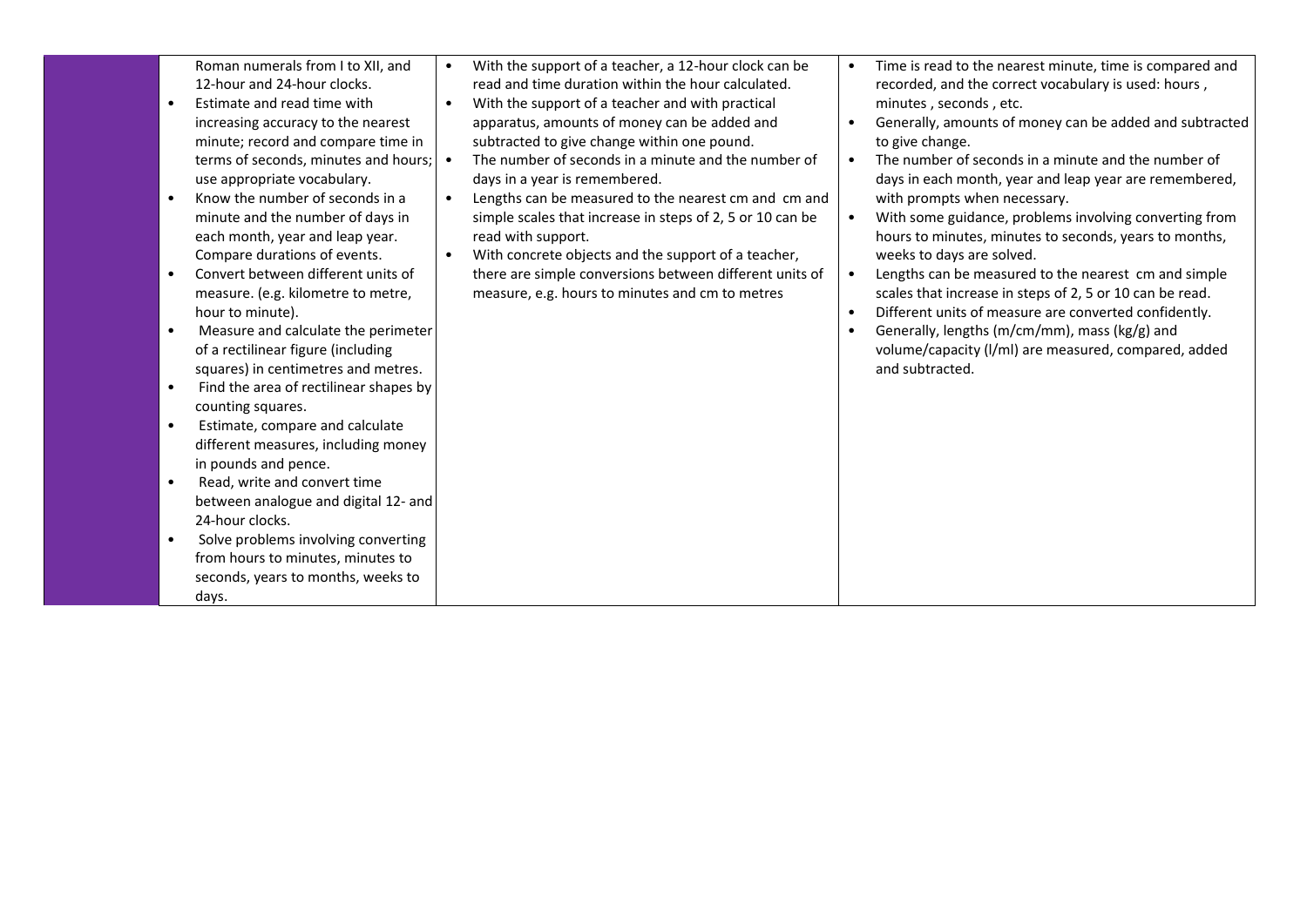|           | Roman numerals from I to XII, and      |           | With the support of a teacher, a 12-hour clock can be     |           | Time is read to the nearest minute, time is compared and |
|-----------|----------------------------------------|-----------|-----------------------------------------------------------|-----------|----------------------------------------------------------|
|           | 12-hour and 24-hour clocks.            |           | read and time duration within the hour calculated.        |           | recorded, and the correct vocabulary is used: hours,     |
|           | Estimate and read time with            | $\bullet$ | With the support of a teacher and with practical          |           | minutes, seconds, etc.                                   |
|           | increasing accuracy to the nearest     |           | apparatus, amounts of money can be added and              |           | Generally, amounts of money can be added and subtracted  |
|           | minute; record and compare time in     |           | subtracted to give change within one pound.               |           | to give change.                                          |
|           | terms of seconds, minutes and hours;   |           | The number of seconds in a minute and the number of       | $\bullet$ | The number of seconds in a minute and the number of      |
|           | use appropriate vocabulary.            |           | days in a year is remembered.                             |           | days in each month, year and leap year are remembered,   |
|           | Know the number of seconds in a        | $\bullet$ | Lengths can be measured to the nearest cm and cm and      |           | with prompts when necessary.                             |
|           | minute and the number of days in       |           | simple scales that increase in steps of 2, 5 or 10 can be | $\bullet$ | With some guidance, problems involving converting from   |
|           | each month, year and leap year.        |           | read with support.                                        |           | hours to minutes, minutes to seconds, years to months,   |
|           | Compare durations of events.           | $\bullet$ | With concrete objects and the support of a teacher,       |           | weeks to days are solved.                                |
|           | Convert between different units of     |           | there are simple conversions between different units of   | $\bullet$ | Lengths can be measured to the nearest cm and simple     |
|           | measure. (e.g. kilometre to metre,     |           | measure, e.g. hours to minutes and cm to metres           |           | scales that increase in steps of 2, 5 or 10 can be read. |
|           | hour to minute).                       |           |                                                           | $\bullet$ | Different units of measure are converted confidently.    |
|           | Measure and calculate the perimeter    |           |                                                           |           | Generally, lengths (m/cm/mm), mass (kg/g) and            |
|           | of a rectilinear figure (including     |           |                                                           |           | volume/capacity (I/mI) are measured, compared, added     |
|           | squares) in centimetres and metres.    |           |                                                           |           | and subtracted.                                          |
| $\bullet$ | Find the area of rectilinear shapes by |           |                                                           |           |                                                          |
|           | counting squares.                      |           |                                                           |           |                                                          |
| $\bullet$ | Estimate, compare and calculate        |           |                                                           |           |                                                          |
|           | different measures, including money    |           |                                                           |           |                                                          |
|           | in pounds and pence.                   |           |                                                           |           |                                                          |
| $\bullet$ | Read, write and convert time           |           |                                                           |           |                                                          |
|           | between analogue and digital 12- and   |           |                                                           |           |                                                          |
|           | 24-hour clocks.                        |           |                                                           |           |                                                          |
|           | Solve problems involving converting    |           |                                                           |           |                                                          |
|           | from hours to minutes, minutes to      |           |                                                           |           |                                                          |
|           |                                        |           |                                                           |           |                                                          |
|           | seconds, years to months, weeks to     |           |                                                           |           |                                                          |
|           | days.                                  |           |                                                           |           |                                                          |